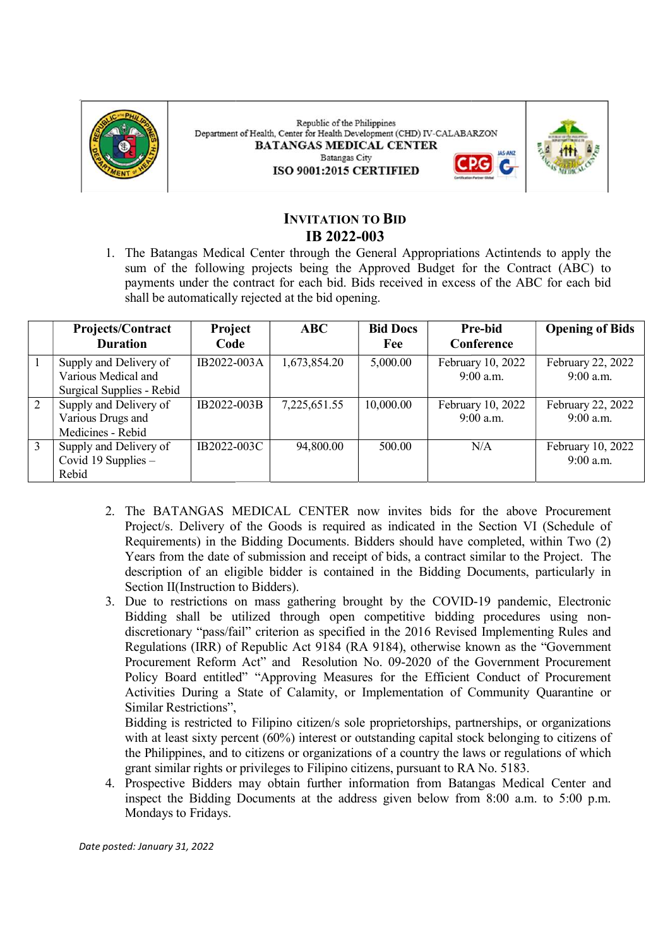

Republic of the Philippines Department of Health, Center for Health Development (CHD) IV-CALABARZON **BATANGAS MEDICAL CENTER Batangas City** ISO 9001:2015 CERTIFIED



# INVITATION TO BID IB 2022-003

|                | Projects/Contract<br><b>Duration</b>                                                 | Project<br>Code                     | <b>ABC</b>   | <b>Bid Docs</b><br>Fee | Pre-bid<br>Conference                                                                                                                                                                                                                                                                                                                                                                                                                                                                                                                                                                                                                                                                                                                                                                                                                                                                                                                                                                                                                                                                                                                                                                                                           | <b>Opening of Bids</b>         |
|----------------|--------------------------------------------------------------------------------------|-------------------------------------|--------------|------------------------|---------------------------------------------------------------------------------------------------------------------------------------------------------------------------------------------------------------------------------------------------------------------------------------------------------------------------------------------------------------------------------------------------------------------------------------------------------------------------------------------------------------------------------------------------------------------------------------------------------------------------------------------------------------------------------------------------------------------------------------------------------------------------------------------------------------------------------------------------------------------------------------------------------------------------------------------------------------------------------------------------------------------------------------------------------------------------------------------------------------------------------------------------------------------------------------------------------------------------------|--------------------------------|
|                | Supply and Delivery of<br>Various Medical and<br><b>Surgical Supplies - Rebid</b>    | IB2022-003A                         | 1,673,854.20 | 5,000.00               | February 10, 2022<br>9:00 a.m.                                                                                                                                                                                                                                                                                                                                                                                                                                                                                                                                                                                                                                                                                                                                                                                                                                                                                                                                                                                                                                                                                                                                                                                                  | February 22, 2022<br>9:00 a.m. |
| $\overline{2}$ | Supply and Delivery of<br>Various Drugs and<br>Medicines - Rebid                     | IB2022-003B                         | 7,225,651.55 | 10,000.00              | February 10, 2022<br>9:00 a.m.                                                                                                                                                                                                                                                                                                                                                                                                                                                                                                                                                                                                                                                                                                                                                                                                                                                                                                                                                                                                                                                                                                                                                                                                  | February 22, 2022<br>9:00 a.m. |
| $\overline{3}$ | Supply and Delivery of<br>Covid 19 Supplies -<br>Rebid                               | IB2022-003C                         | 94,800.00    | 500.00                 | N/A                                                                                                                                                                                                                                                                                                                                                                                                                                                                                                                                                                                                                                                                                                                                                                                                                                                                                                                                                                                                                                                                                                                                                                                                                             | February 10, 2022<br>9:00 a.m. |
|                | Similar Restrictions",                                                               | Section II(Instruction to Bidders). |              |                        | Years from the date of submission and receipt of bids, a contract similar to the Project. The<br>description of an eligible bidder is contained in the Bidding Documents, particularly in<br>3. Due to restrictions on mass gathering brought by the COVID-19 pandemic, Electronic<br>Bidding shall be utilized through open competitive bidding procedures using non-<br>discretionary "pass/fail" criterion as specified in the 2016 Revised Implementing Rules and<br>Regulations (IRR) of Republic Act 9184 (RA 9184), otherwise known as the "Government<br>Procurement Reform Act" and Resolution No. 09-2020 of the Government Procurement<br>Policy Board entitled" "Approving Measures for the Efficient Conduct of Procurement<br>Activities During a State of Calamity, or Implementation of Community Quarantine or<br>Bidding is restricted to Filipino citizen/s sole proprietorships, partnerships, or organizations<br>with at least sixty percent (60%) interest or outstanding capital stock belonging to citizens of<br>the Philippines, and to citizens or organizations of a country the laws or regulations of which<br>grant similar rights or privileges to Filipino citizens, pursuant to RA No. 5183. |                                |
|                | inspect the Bidding Documents at the address given below from 8:00 a.m. to 5:00 p.m. |                                     |              |                        | 4. Prospective Bidders may obtain further information from Batangas Medical Center and                                                                                                                                                                                                                                                                                                                                                                                                                                                                                                                                                                                                                                                                                                                                                                                                                                                                                                                                                                                                                                                                                                                                          |                                |

- 2. The BATANGAS MEDICAL CENTER now invites bids for the above Procurement The BATANGAS MEDICAL CENTER now invites bids for the above Procurement<br>Project/s. Delivery of the Goods is required as indicated in the Section VI (Schedule of Requirements) in the Bidding Documents. Bidders should have completed, within Two (2) Years from the date of submission and receipt of bids, a contract similar to the Project. The description of an eligible bidder is contained in the Bidding Documents, particularly in Section II(Instruction to Bidders).
- 3. Due to restrictions on mass gathering brought by the COVID-19 pandemic, Electronic Bidding shall be utilized through open competitive bidding procedures using nondiscretionary "pass/fail" criterion as specified in the 2016 Revised Implementing Rules and discretionary "pass/fail" criterion as specified in the 2016 Revised Implementing Rules and Regulations (IRR) of Republic Act 9184 (RA 9184), otherwise known as the "Go Regulations (IRR) of Republic Act 9184 (RA 9184), otherwise known as the "Government Regulations (IRR) of Republic Act 9184 (RA 9184), otherwise known as the "Government<br>Procurement Reform Act" and Resolution No. 09-2020 of the Government Procurement Policy Board entitled" "Approving Measures for the Efficient Conduct of Procurement Policy Board entitled" "Approving Measures for the Efficient Conduct of Procurement Activities During a State of Calamity, or Implementation of Community Quarantine or Activities During a State of Calamity, or Implementation of Community Quarantine or Similar Restrictions", Policy Board entitled" "Approving Measures for the Efficient Conduct of Procurement<br>Activities During a State of Calamity, or Implementation of Community Quarantine or<br>Similar Restrictions",<br>Bidding is restricted to Filipi

4. Prospective Bidders may obtain further information from Batangas Medical Center and inspect the Bidding Documents at the address given below from 8:00 a.m. to 5:00 p.m. inspect the Bidding Documents at the address given below from 8:00 a.m. to 5:00 p.m. Mondays to Fridays.

Date posted: January 31, 2022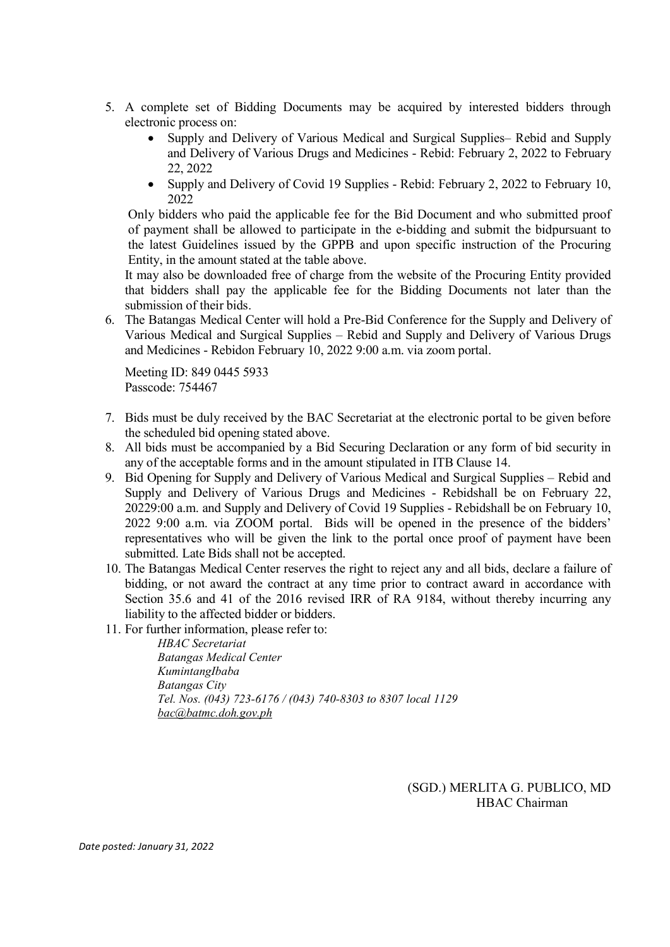- 5. A complete set of Bidding Documents may be acquired by interested bidders through electronic process on:
	- Supply and Delivery of Various Medical and Surgical Supplies– Rebid and Supply and Delivery of Various Drugs and Medicines - Rebid: February 2, 2022 to February 22, 2022
	- Supply and Delivery of Covid 19 Supplies Rebid: February 2, 2022 to February 10, 2022

Only bidders who paid the applicable fee for the Bid Document and who submitted proof of payment shall be allowed to participate in the e-bidding and submit the bidpursuant to the latest Guidelines issued by the GPPB and upon specific instruction of the Procuring Entity, in the amount stated at the table above.

It may also be downloaded free of charge from the website of the Procuring Entity provided that bidders shall pay the applicable fee for the Bidding Documents not later than the submission of their bids.

6. The Batangas Medical Center will hold a Pre-Bid Conference for the Supply and Delivery of Various Medical and Surgical Supplies – Rebid and Supply and Delivery of Various Drugs and Medicines - Rebidon February 10, 2022 9:00 a.m. via zoom portal.

Meeting ID: 849 0445 5933 Passcode: 754467

- 7. Bids must be duly received by the BAC Secretariat at the electronic portal to be given before the scheduled bid opening stated above.
- 8. All bids must be accompanied by a Bid Securing Declaration or any form of bid security in any of the acceptable forms and in the amount stipulated in ITB Clause 14.
- 9. Bid Opening for Supply and Delivery of Various Medical and Surgical Supplies Rebid and Supply and Delivery of Various Drugs and Medicines - Rebidshall be on February 22, 20229:00 a.m. and Supply and Delivery of Covid 19 Supplies - Rebidshall be on February 10, 2022 9:00 a.m. via ZOOM portal. Bids will be opened in the presence of the bidders' representatives who will be given the link to the portal once proof of payment have been submitted. Late Bids shall not be accepted.
- 10. The Batangas Medical Center reserves the right to reject any and all bids, declare a failure of bidding, or not award the contract at any time prior to contract award in accordance with Section 35.6 and 41 of the 2016 revised IRR of RA 9184, without thereby incurring any liability to the affected bidder or bidders.

11. For further information, please refer to:

HBAC Secretariat Batangas Medical Center KumintangIbaba Batangas City Tel. Nos. (043) 723-6176 / (043) 740-8303 to 8307 local 1129 bac@batmc.doh.gov.ph

> (SGD.) MERLITA G. PUBLICO, MD HBAC Chairman

Date posted: January 31, 2022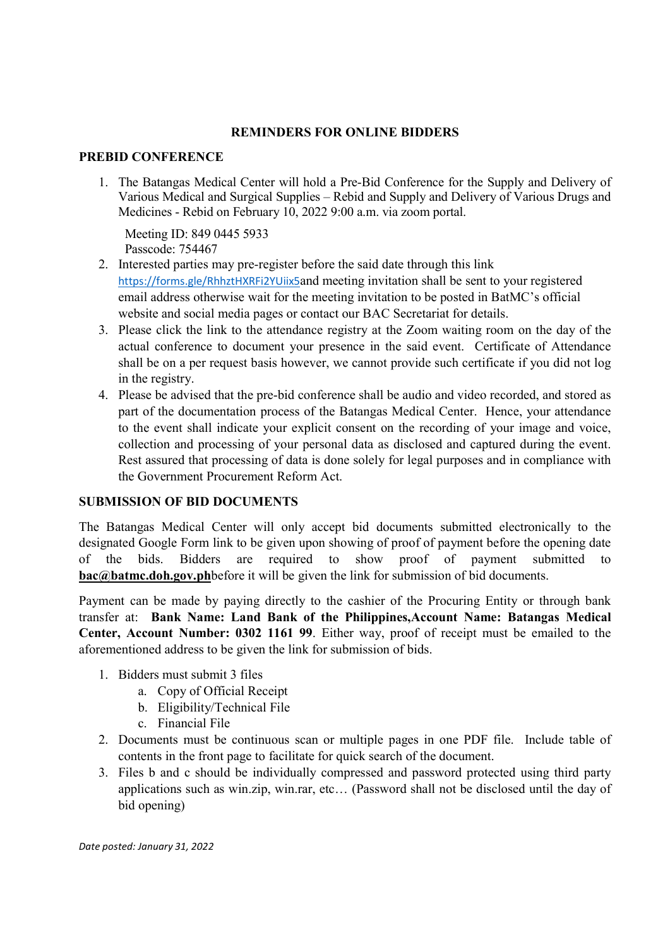### REMINDERS FOR ONLINE BIDDERS

#### PREBID CONFERENCE

1. The Batangas Medical Center will hold a Pre-Bid Conference for the Supply and Delivery of Various Medical and Surgical Supplies – Rebid and Supply and Delivery of Various Drugs and Medicines - Rebid on February 10, 2022 9:00 a.m. via zoom portal.

Meeting ID: 849 0445 5933 Passcode: 754467

- 2. Interested parties may pre-register before the said date through this link https://forms.gle/RhhztHXRFi2YUiix5and meeting invitation shall be sent to your registered email address otherwise wait for the meeting invitation to be posted in BatMC's official website and social media pages or contact our BAC Secretariat for details.
- 3. Please click the link to the attendance registry at the Zoom waiting room on the day of the actual conference to document your presence in the said event. Certificate of Attendance shall be on a per request basis however, we cannot provide such certificate if you did not log in the registry.
- 4. Please be advised that the pre-bid conference shall be audio and video recorded, and stored as part of the documentation process of the Batangas Medical Center. Hence, your attendance to the event shall indicate your explicit consent on the recording of your image and voice, collection and processing of your personal data as disclosed and captured during the event. Rest assured that processing of data is done solely for legal purposes and in compliance with the Government Procurement Reform Act.

#### SUBMISSION OF BID DOCUMENTS

The Batangas Medical Center will only accept bid documents submitted electronically to the designated Google Form link to be given upon showing of proof of payment before the opening date of the bids. Bidders are required to show proof of payment submitted to bac@batmc.doh.gov.phbefore it will be given the link for submission of bid documents.

Payment can be made by paying directly to the cashier of the Procuring Entity or through bank transfer at: Bank Name: Land Bank of the Philippines,Account Name: Batangas Medical Center, Account Number: 0302 1161 99. Either way, proof of receipt must be emailed to the aforementioned address to be given the link for submission of bids.

- 1. Bidders must submit 3 files
	- a. Copy of Official Receipt
	- b. Eligibility/Technical File
	- c. Financial File
- 2. Documents must be continuous scan or multiple pages in one PDF file. Include table of contents in the front page to facilitate for quick search of the document.
- 3. Files b and c should be individually compressed and password protected using third party applications such as win.zip, win.rar, etc… (Password shall not be disclosed until the day of bid opening)

Date posted: January 31, 2022